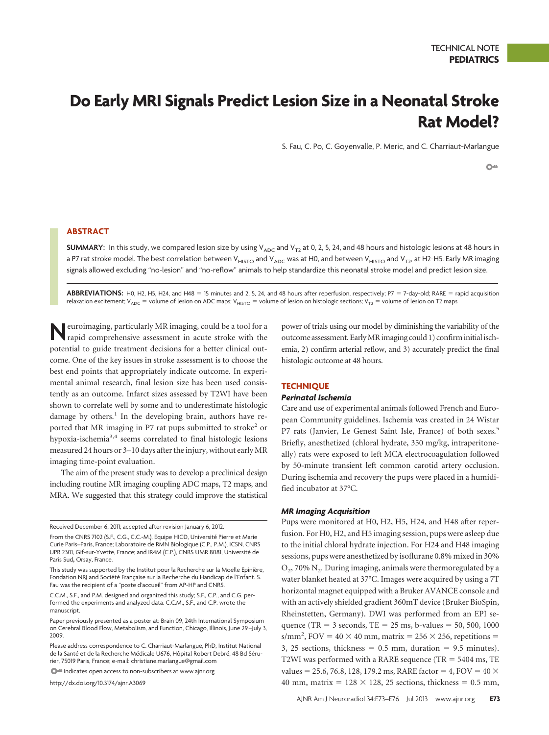# **Do Early MRI Signals Predict Lesion Size in a Neonatal Stroke Rat Model?**

S. Fau, C. Po, C. Goyenvalle, P. Meric, and C. Charriaut-Marlangue

 $O<sub>m</sub>$ 

# **ABSTRACT**

**SUMMARY:** In this study, we compared lesion size by using  $V_{ADC}$  and  $V_{T2}$  at 0, 2, 5, 24, and 48 hours and histologic lesions at 48 hours in a P7 rat stroke model. The best correlation between V<sub>HISTO</sub> and V<sub>ADC</sub> was at H0, and between V<sub>HISTO</sub> and V<sub>T2</sub>, at H2-H5. Early MR imaging signals allowed excluding "no-lesion" and "no-reflow" animals to help standardize this neonatal stroke model and predict lesion size.

ABBREVIATIONS: H0, H2, H5, H24, and H48 = 15 minutes and 2, 5, 24, and 48 hours after reperfusion, respectively; P7 = 7-day-old; RARE = rapid acquisition relaxation excitement; V<sub>ADC</sub> = volume of lesion on ADC maps; V<sub>HISTO</sub> = volume of lesion on histologic sections; V<sub>T2</sub> = volume of lesion on T2 maps

**Neuroimaging, particularly MR imaging, could be a tool for a** rapid comprehensive assessment in acute stroke with the potential to guide treatment decisions for a better clinical outcome. One of the key issues in stroke assessment is to choose the best end points that appropriately indicate outcome. In experimental animal research, final lesion size has been used consistently as an outcome. Infarct sizes assessed by T2WI have been shown to correlate well by some and to underestimate histologic damage by others.<sup>1</sup> In the developing brain, authors have reported that MR imaging in P7 rat pups submitted to stroke<sup>2</sup> or hypoxia-ischemia<sup>3,4</sup> seems correlated to final histologic lesions measured 24 hours or 3–10 days after the injury, without early MR imaging time-point evaluation.

The aim of the present study was to develop a preclinical design including routine MR imaging coupling ADC maps, T2 maps, and MRA. We suggested that this strategy could improve the statistical

Received December 6, 2011; accepted after revision January 6, 2012.

C.C.M., S.F., and P.M. designed and organized this study; S.F., C.P., and C.G. performed the experiments and analyzed data. C.C.M., S.F., and C.P. wrote the manuscript.

Indicates open access to non-subscribers at www.ajnr.org

http://dx.doi.org/10.3174/ajnr.A3069

power of trials using our model by diminishing the variability of the outcome assessment. EarlyMRimaging could 1) confirminitialischemia, 2) confirm arterial reflow, and 3) accurately predict the final histologic outcome at 48 hours.

# **TECHNIQUE**

## *Perinatal Ischemia*

Care and use of experimental animals followed French and European Community guidelines. Ischemia was created in 24 Wistar P7 rats (Janvier, Le Genest Saint Isle, France) of both sexes.<sup>5</sup> Briefly, anesthetized (chloral hydrate, 350 mg/kg, intraperitoneally) rats were exposed to left MCA electrocoagulation followed by 50-minute transient left common carotid artery occlusion. During ischemia and recovery the pups were placed in a humidified incubator at 37°C.

#### *MR Imaging Acquisition*

Pups were monitored at H0, H2, H5, H24, and H48 after reperfusion. For H0, H2, and H5 imaging session, pups were asleep due to the initial chloral hydrate injection. For H24 and H48 imaging sessions, pups were anesthetized by isoflurane 0.8% mixed in 30%  $O<sub>2</sub>$ , 70% N<sub>2</sub>. During imaging, animals were thermoregulated by a water blanket heated at 37°C. Images were acquired by using a 7T horizontal magnet equipped with a Bruker AVANCE console and with an actively shielded gradient 360mT device (Bruker BioSpin, Rheinstetten, Germany). DWI was performed from an EPI sequence (TR =  $3$  seconds, TE =  $25$  ms, b-values =  $50$ ,  $500$ ,  $1000$  $s/mm^2$ , FOV = 40  $\times$  40 mm, matrix = 256  $\times$  256, repetitions = 3, 25 sections, thickness =  $0.5$  mm, duration =  $9.5$  minutes). T2WI was performed with a RARE sequence (TR  $=$  5404 ms, TE values = 25.6, 76.8, 128, 179.2 ms, RARE factor = 4, FOV =  $40 \times$ 40 mm, matrix =  $128 \times 128$ , 25 sections, thickness = 0.5 mm,

From the CNRS 7102 (S.F., C.G., C.C.-M.), Equipe HICD, Université Pierre et Marie Curie Paris–Paris, France; Laboratoire de RMN Biologique (C.P., P.M.), ICSN, CNRS UPR 2301, Gif-sur-Yvette, France; and IR4M (C.P.), CNRS UMR 8081, Université de Paris Sud**,** Orsay, France.

This study was supported by the Institut pour la Recherche sur la Moelle Epinière, Fondation NRJ and Société Française sur la Recherche du Handicap de l'Enfant. S. Fau was the recipient of a "poste d'accueil" from AP-HP and CNRS.

Paper previously presented as a poster at: Brain 09, 24th International Symposium on Cerebral Blood Flow, Metabolism, and Function, Chicago, Illinois, June 29 –July 3, 2009.

Please address correspondence to C. Charriaut-Marlangue, PhD, Institut National de la Santé et de la Recherche Médicale U676, Hôpital Robert Debré, 48 Bd Sérurier, 75019 Paris, France; e-mail: christiane.marlangue@gmail.com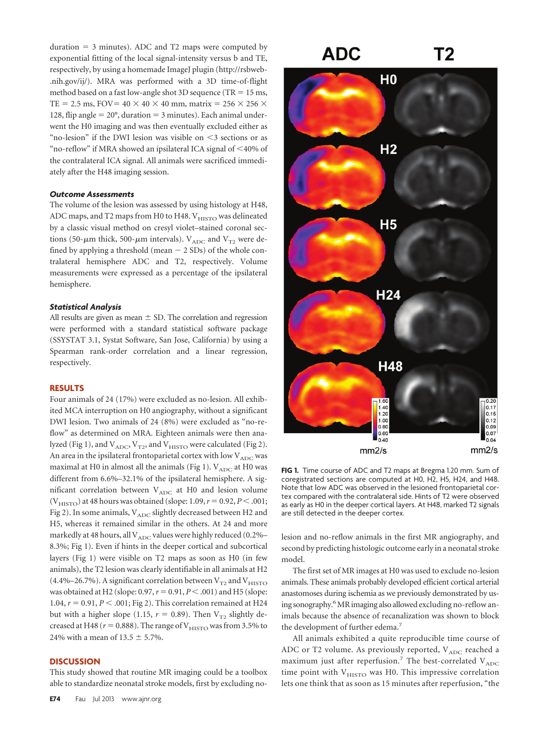duration  $=$  3 minutes). ADC and T2 maps were computed by exponential fitting of the local signal-intensity versus b and TE, respectively, by using a homemade ImageJ plugin (http://rsbweb- .nih.gov/ij/). MRA was performed with a 3D time-of-flight method based on a fast low-angle shot 3D sequence (TR  $= 15$  ms, TE = 2.5 ms, FOV =  $40 \times 40 \times 40$  mm, matrix =  $256 \times 256 \times$ 128, flip angle  $= 20^{\circ}$ , duration  $= 3$  minutes). Each animal underwent the H0 imaging and was then eventually excluded either as "no-lesion" if the DWI lesion was visible on  $\leq$ 3 sections or as "no-reflow" if MRA showed an ipsilateral ICA signal of  $\leq 40\%$  of the contralateral ICA signal. All animals were sacrificed immediately after the H48 imaging session.

#### *Outcome Assessments*

The volume of the lesion was assessed by using histology at H48, ADC maps, and T2 maps from H0 to H48. V<sub>HISTO</sub> was delineated by a classic visual method on cresyl violet–stained coronal sections (50- $\mu$ m thick, 500- $\mu$ m intervals). V<sub>ADC</sub> and V<sub>T2</sub> were defined by applying a threshold (mean  $-$  2 SDs) of the whole contralateral hemisphere ADC and T2, respectively. Volume measurements were expressed as a percentage of the ipsilateral hemisphere.

## *Statistical Analysis*

All results are given as mean  $\pm$  SD. The correlation and regression were performed with a standard statistical software package (SSYSTAT 3.1, Systat Software, San Jose, California) by using a Spearman rank-order correlation and a linear regression, respectively.

#### **RESULTS**

Four animals of 24 (17%) were excluded as no-lesion. All exhibited MCA interruption on H0 angiography, without a significant DWI lesion. Two animals of 24 (8%) were excluded as "no-reflow" as determined on MRA. Eighteen animals were then analyzed (Fig 1), and  $V_{ADC}$ ,  $V_{T2}$ , and  $V_{HISTO}$  were calculated (Fig 2). An area in the ipsilateral frontoparietal cortex with low  $\rm V_{ADC}$  was maximal at H0 in almost all the animals (Fig 1).  $V_{ADC}$  at H0 was different from 6.6%–32.1% of the ipsilateral hemisphere. A significant correlation between  $V_{ADC}$  at H0 and lesion volume  $(V_{\text{HISTO}})$  at 48 hours was obtained (slope: 1.09,  $r = 0.92$ ,  $P < .001$ ; Fig 2). In some animals,  $\rm V_{ADC}$  slightly decreased between H2 and H5, whereas it remained similar in the others. At 24 and more markedly at 48 hours, all  $V_{\rm ADC}$  values were highly reduced (0.2%– 8.3%; Fig 1). Even if hints in the deeper cortical and subcortical layers (Fig 1) were visible on T2 maps as soon as H0 (in few animals), the T2 lesion was clearly identifiable in all animals at H2 (4.4%–26.7%). A significant correlation between  $V_{T2}$  and  $V_{HISTO}$ was obtained at H2 (slope: 0.97,  $r = 0.91$ ,  $P < .001$ ) and H5 (slope: 1.04,  $r = 0.91$ ,  $P < .001$ ; Fig 2). This correlation remained at H24 but with a higher slope (1.15,  $r = 0.89$ ). Then V<sub>T2</sub> slightly decreased at H48 ( $r = 0.888$ ). The range of V<sub>HISTO</sub> was from 3.5% to 24% with a mean of  $13.5 \pm 5.7$ %.

#### **DISCUSSION**

This study showed that routine MR imaging could be a toolbox able to standardize neonatal stroke models, first by excluding no-



**FIG 1.** Time course of ADC and T2 maps at Bregma 1.20 mm. Sum of coregistrated sections are computed at H0, H2, H5, H24, and H48. Note that low ADC was observed in the lesioned frontoparietal cortex compared with the contralateral side. Hints of T2 were observed as early as H0 in the deeper cortical layers. At H48, marked T2 signals are still detected in the deeper cortex.

lesion and no-reflow animals in the first MR angiography, and second by predicting histologic outcome early in a neonatal stroke model.

The first set of MR images at H0 was used to exclude no-lesion animals. These animals probably developed efficient cortical arterial anastomoses during ischemia as we previously demonstrated by using sonography.<sup>6</sup> MR imaging also allowed excluding no-reflow animals because the absence of recanalization was shown to block the development of further edema.<sup>7</sup>

All animals exhibited a quite reproducible time course of ADC or T2 volume. As previously reported,  $V_{ADC}$  reached a maximum just after reperfusion.<sup>7</sup> The best-correlated  $V_{ADC}$ time point with  $V<sub>HISTO</sub>$  was H0. This impressive correlation lets one think that as soon as 15 minutes after reperfusion, "the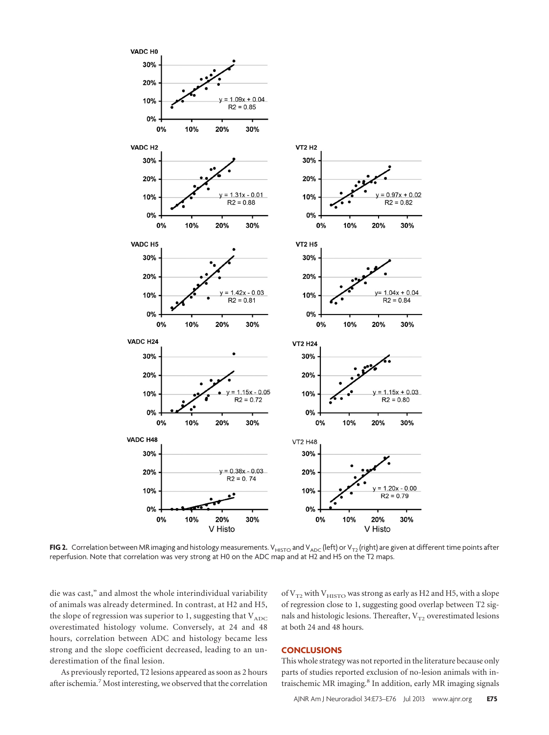

**FIG 2.** Correlation between MR imaging and histology measurements. V<sub>HISTO</sub> and V<sub>ADC</sub> (left) or V<sub>T2</sub> (right) are given at different time points after reperfusion. Note that correlation was very strong at H0 on the ADC map and at H2 and H5 on the T2 maps.

die was cast," and almost the whole interindividual variability of animals was already determined. In contrast, at H2 and H5, the slope of regression was superior to 1, suggesting that  $V_{ADC}$ overestimated histology volume. Conversely, at 24 and 48 hours, correlation between ADC and histology became less strong and the slope coefficient decreased, leading to an underestimation of the final lesion.

As previously reported, T2 lesions appeared as soon as 2 hours after ischemia.<sup>7</sup> Most interesting, we observed that the correlation of  $V_{T2}$  with  $V_{HISTO}$  was strong as early as H2 and H5, with a slope of regression close to 1, suggesting good overlap between T2 signals and histologic lesions. Thereafter,  $V_{T2}$  overestimated lesions at both 24 and 48 hours.

### **CONCLUSIONS**

This whole strategy was not reported in the literature because only parts of studies reported exclusion of no-lesion animals with intraischemic MR imaging.8 In addition, early MR imaging signals